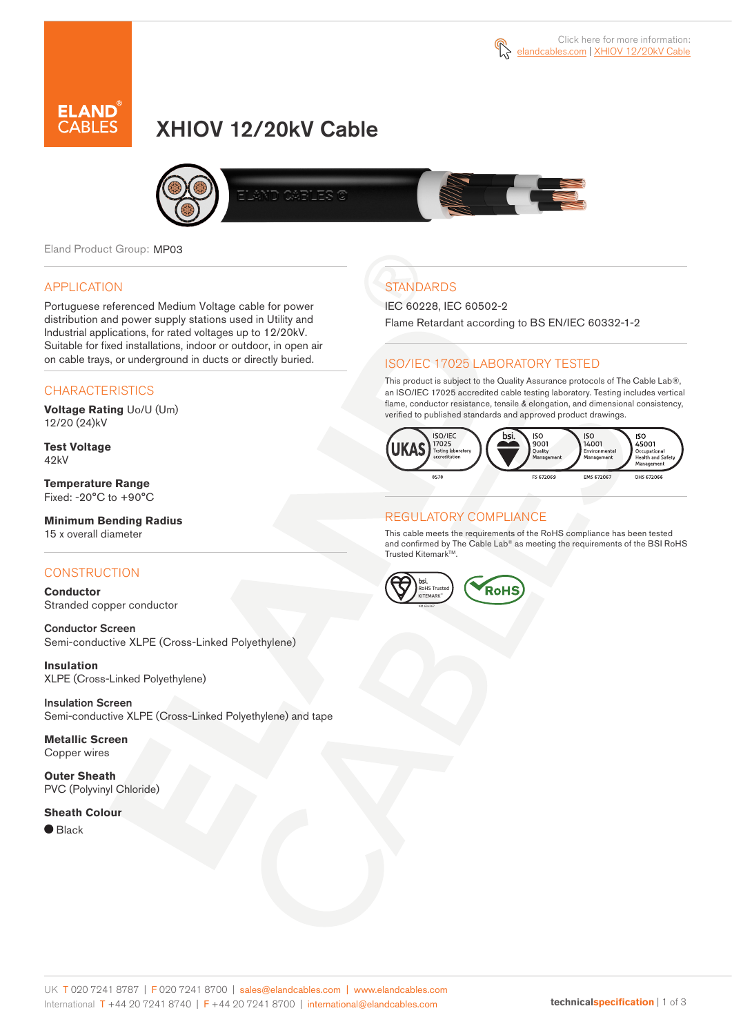



# XHIOV 12/20kV Cable



Eland Product Group: MP03

### APPLICATION

Portuguese referenced Medium Voltage cable for power distribution and power supply stations used in Utility and Industrial applications, for rated voltages up to 12/20kV. Suitable for fixed installations, indoor or outdoor, in open air on cable trays, or underground in ducts or directly buried.

### **CHARACTERISTICS**

**Voltage Rating** Uo/U (Um) 12/20 (24)kV

**Test Voltage** 42kV

**Temperature Range** Fixed: -20°C to +90°C

### **Minimum Bending Radius**

15 x overall diameter

### **CONSTRUCTION**

**Conductor** Stranded copper conductor

Conductor Screen Semi-conductive XLPE (Cross-Linked Polyethylene)

**Insulation** XLPE (Cross-Linked Polyethylene)

Insulation Screen Semi-conductive XLPE (Cross-Linked Polyethylene) and tape

**Metallic Screen** Copper wires

**Outer Sheath** PVC (Polyvinyl Chloride)

#### **Sheath Colour**

 $\bullet$  Black

# **STANDARDS**

IEC 60228, IEC 60502-2

Flame Retardant according to BS EN/IEC 60332-1-2

### ISO/IEC 17025 LABORATORY TESTED

This product is subject to the Quality Assurance protocols of The Cable Lab®, an ISO/IEC 17025 accredited cable testing laboratory. Testing includes vertical flame, conductor resistance, tensile & elongation, and dimensional consistency, verified to published standards and approved product drawings.



#### REGULATORY COMPLIANCE

This cable meets the requirements of the RoHS compliance has been tested and confirmed by The Cable Lab® as meeting the requirements of the BSI RoHS Trusted Kitemark™.

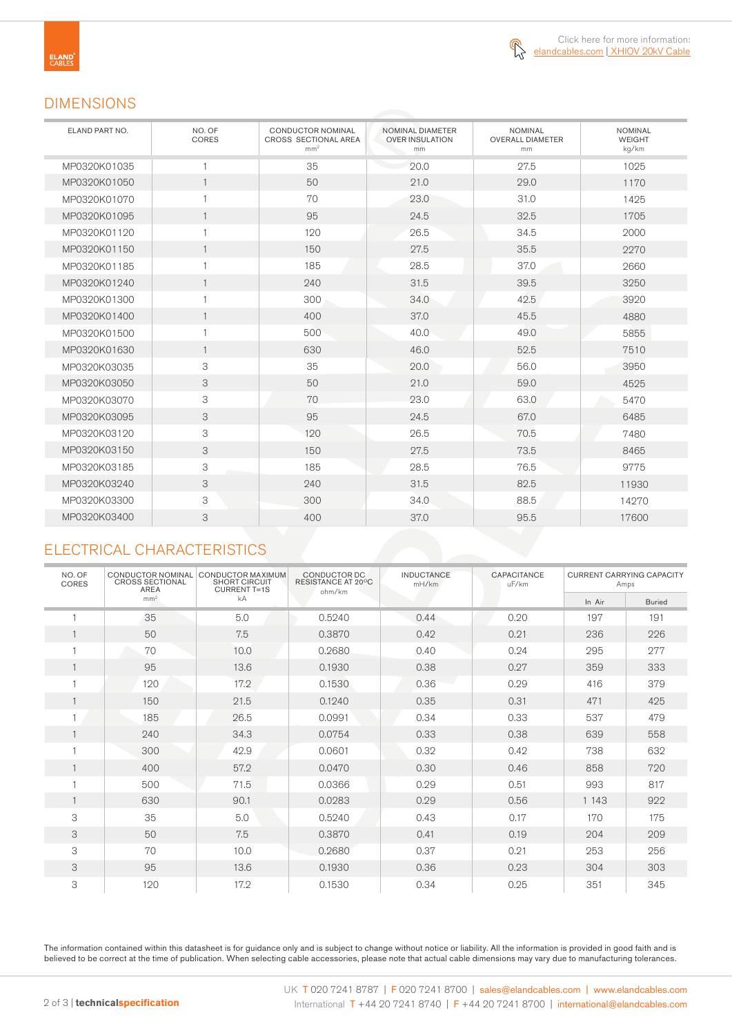

### DIMENSIONS

| ELAND PART NO. | NO. OF<br>CORES | <b>CONDUCTOR NOMINAL</b><br>CROSS SECTIONAL AREA<br>mm <sup>2</sup> | NOMINAL DIAMETER<br><b>OVER INSULATION</b><br>mm | <b>NOMINAL</b><br><b>OVERALL DIAMETER</b><br>mm | <b>NOMINAL</b><br><b>WEIGHT</b><br>kg/km |
|----------------|-----------------|---------------------------------------------------------------------|--------------------------------------------------|-------------------------------------------------|------------------------------------------|
| MP0320K01035   | $\mathbf{1}$    | 35                                                                  | 20.0                                             | 27.5                                            | 1025                                     |
| MP0320K01050   | $\mathbf{1}$    | 50                                                                  | 21.0                                             | 29.0                                            | 1170                                     |
| MP0320K01070   | 1               | 70                                                                  | 23.0                                             | 31.0                                            | 1425                                     |
| MP0320K01095   | $\mathbf{1}$    | 95                                                                  | 24.5                                             | 32.5                                            | 1705                                     |
| MP0320K01120   | 1               | 120                                                                 | 26.5                                             | 34.5                                            | 2000                                     |
| MP0320K01150   | $\mathbf{1}$    | 150                                                                 | 27.5                                             | 35.5                                            | 2270                                     |
| MP0320K01185   | 1               | 185                                                                 | 28.5                                             | 37.0                                            | 2660                                     |
| MP0320K01240   | $\mathbf{1}$    | 240                                                                 | 31.5                                             | 39.5                                            | 3250                                     |
| MP0320K01300   | 1               | 300                                                                 | 34.0                                             | 42.5                                            | 3920                                     |
| MP0320K01400   | $\mathbf{1}$    | 400                                                                 | 37.0                                             | 45.5                                            | 4880                                     |
| MP0320K01500   | 1               | 500                                                                 | 40.0                                             | 49.0                                            | 5855                                     |
| MP0320K01630   | $\mathbf{1}$    | 630                                                                 | 46.0                                             | 52.5                                            | 7510                                     |
| MP0320K03035   | 3               | 35                                                                  | 20.0                                             | 56.0                                            | 3950                                     |
| MP0320K03050   | 3               | 50                                                                  | 21.0                                             | 59.0                                            | 4525                                     |
| MP0320K03070   | 3               | 70                                                                  | 23.0                                             | 63.0                                            | 5470                                     |
| MP0320K03095   | 3               | 95                                                                  | 24.5                                             | 67.0                                            | 6485                                     |
| MP0320K03120   | 3               | 120                                                                 | 26.5                                             | 70.5                                            | 7480                                     |
| MP0320K03150   | 3               | 150                                                                 | 27.5                                             | 73.5                                            | 8465                                     |
| MP0320K03185   | 3               | 185                                                                 | 28.5                                             | 76.5                                            | 9775                                     |
| MP0320K03240   | 3               | 240                                                                 | 31.5                                             | 82.5                                            | 11930                                    |
| MP0320K03300   | 3               | 300                                                                 | 34.0                                             | 88.5                                            | 14270                                    |
| MP0320K03400   | 3               | 400                                                                 | 37.0                                             | 95.5                                            | 17600                                    |

## ELECTRICAL CHARACTERISTICS

| NO. OF<br>CORES | CONDUCTOR NOMINAL<br><b>CROSS SECTIONAL</b><br><b>AREA</b> | CONDUCTOR MAXIMUM<br><b>SHORT CIRCUIT</b><br><b>CURRENT T=1S</b> | CONDUCTOR DC<br>RESISTANCE AT 20°C<br>ohm/km | <b>INDUCTANCE</b><br>mH/km | CAPACITANCE<br>uF/km | <b>CURRENT CARRYING CAPACITY</b><br>Amps |               |
|-----------------|------------------------------------------------------------|------------------------------------------------------------------|----------------------------------------------|----------------------------|----------------------|------------------------------------------|---------------|
|                 | mm <sup>2</sup>                                            | kA                                                               |                                              |                            |                      | In Air                                   | <b>Buried</b> |
|                 | 35                                                         | 5.0                                                              | 0.5240                                       | 0.44                       | 0.20                 | 197                                      | 191           |
|                 | 50                                                         | 7.5                                                              | 0.3870                                       | 0.42                       | 0.21                 | 236                                      | 226           |
|                 | 70                                                         | 10.0                                                             | 0.2680                                       | 0.40                       | 0.24                 | 295                                      | 277           |
|                 | 95                                                         | 13.6                                                             | 0.1930                                       | 0.38                       | 0.27                 | 359                                      | 333           |
|                 | 120                                                        | 17.2                                                             | 0.1530                                       | 0.36                       | 0.29                 | 416                                      | 379           |
|                 | 150                                                        | 21.5                                                             | 0.1240                                       | 0.35                       | 0.31                 | 471                                      | 425           |
|                 | 185                                                        | 26.5                                                             | 0.0991                                       | 0.34                       | 0.33                 | 537                                      | 479           |
|                 | 240                                                        | 34.3                                                             | 0.0754                                       | 0.33                       | 0.38                 | 639                                      | 558           |
|                 | 300                                                        | 42.9                                                             | 0.0601                                       | 0.32                       | 0.42                 | 738                                      | 632           |
|                 | 400                                                        | 57.2                                                             | 0.0470                                       | 0.30                       | 0.46                 | 858                                      | 720           |
|                 | 500                                                        | 71.5                                                             | 0.0366                                       | 0.29                       | 0.51                 | 993                                      | 817           |
|                 | 630                                                        | 90.1                                                             | 0.0283                                       | 0.29                       | 0.56                 | 1 1 4 3                                  | 922           |
| 3               | 35                                                         | 5.0                                                              | 0.5240                                       | 0.43                       | 0.17                 | 170                                      | 175           |
| 3               | 50                                                         | 7.5                                                              | 0.3870                                       | 0.41                       | 0.19                 | 204                                      | 209           |
| 3               | 70                                                         | 10.0                                                             | 0.2680                                       | 0.37                       | 0.21                 | 253                                      | 256           |
| 3               | 95                                                         | 13.6                                                             | 0.1930                                       | 0.36                       | 0.23                 | 304                                      | 303           |
| 3               | 120                                                        | 17.2                                                             | 0.1530                                       | 0.34                       | 0.25                 | 351                                      | 345           |

The information contained within this datasheet is for guidance only and is subject to change without notice or liability. All the information is provided in good faith and is believed to be correct at the time of publication. When selecting cable accessories, please note that actual cable dimensions may vary due to manufacturing tolerances.